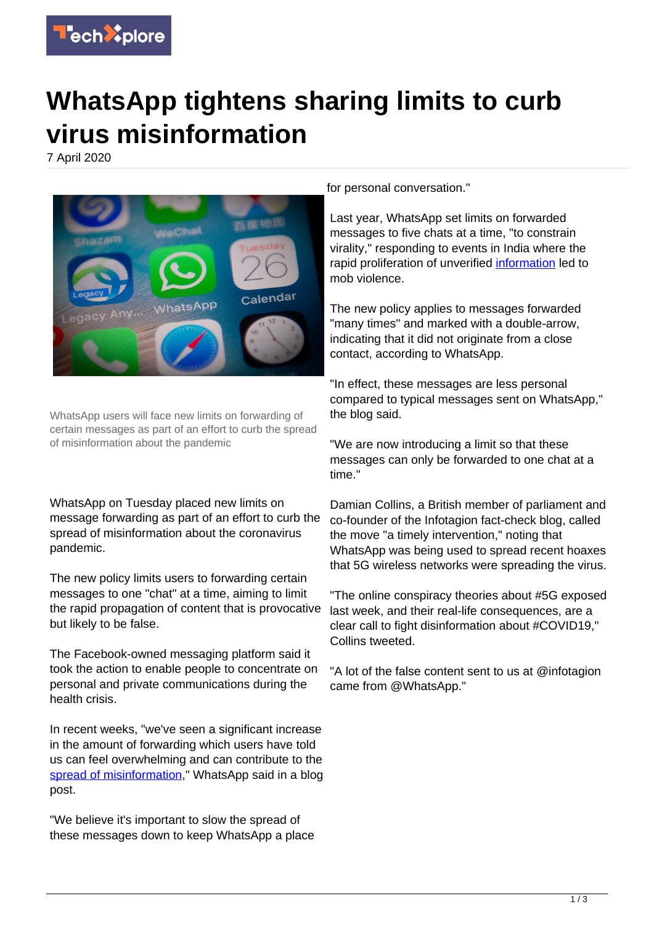

## **WhatsApp tightens sharing limits to curb virus misinformation**

7 April 2020



WhatsApp users will face new limits on forwarding of certain messages as part of an effort to curb the spread of misinformation about the pandemic

WhatsApp on Tuesday placed new limits on message forwarding as part of an effort to curb the spread of misinformation about the coronavirus pandemic.

The new policy limits users to forwarding certain messages to one "chat" at a time, aiming to limit the rapid propagation of content that is provocative but likely to be false.

The Facebook-owned messaging platform said it took the action to enable people to concentrate on personal and private communications during the health crisis.

In recent weeks, "we've seen a significant increase in the amount of forwarding which users have told us can feel overwhelming and can contribute to the [spread of misinformation,](https://techxplore.com/tags/spread+of+misinformation/)" WhatsApp said in a blog post.

"We believe it's important to slow the spread of these messages down to keep WhatsApp a place for personal conversation."

Last year, WhatsApp set limits on forwarded messages to five chats at a time, "to constrain virality," responding to events in India where the rapid proliferation of unverified [information](https://techxplore.com/tags/information/) led to mob violence.

The new policy applies to messages forwarded "many times" and marked with a double-arrow, indicating that it did not originate from a close contact, according to WhatsApp.

"In effect, these messages are less personal compared to typical messages sent on WhatsApp," the blog said.

"We are now introducing a limit so that these messages can only be forwarded to one chat at a time."

Damian Collins, a British member of parliament and co-founder of the Infotagion fact-check blog, called the move "a timely intervention," noting that WhatsApp was being used to spread recent hoaxes that 5G wireless networks were spreading the virus.

"The online conspiracy theories about #5G exposed last week, and their real-life consequences, are a clear call to fight disinformation about #COVID19," Collins tweeted.

"A lot of the false content sent to us at @infotagion came from @WhatsApp."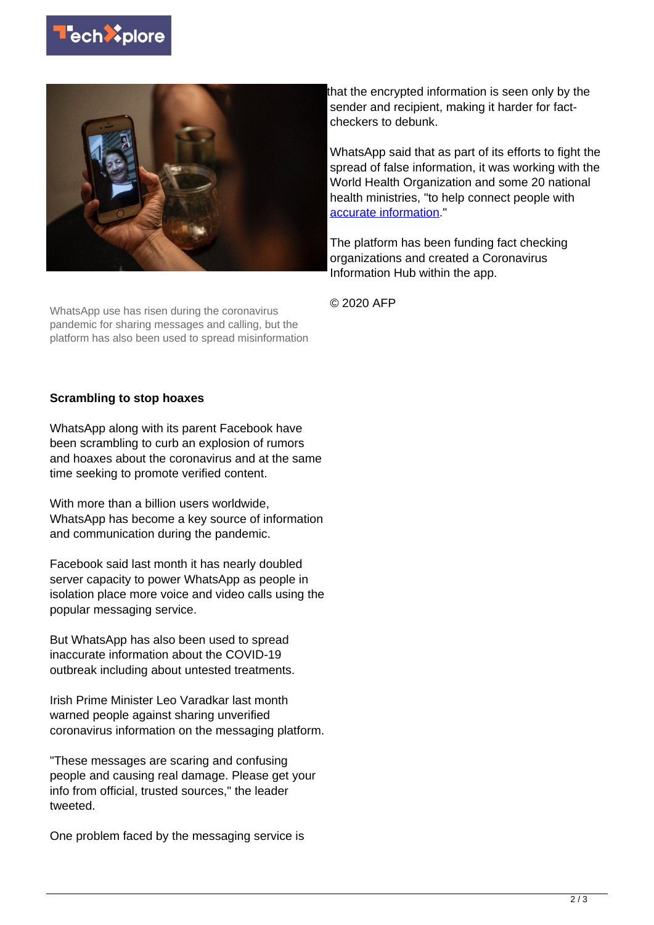



WhatsApp use has risen during the coronavirus pandemic for sharing messages and calling, but the platform has also been used to spread misinformation that the encrypted information is seen only by the sender and recipient, making it harder for factcheckers to debunk.

WhatsApp said that as part of its efforts to fight the spread of false information, it was working with the World Health Organization and some 20 national health ministries, "to help connect people with [accurate information](https://techxplore.com/tags/accurate+information/)."

The platform has been funding fact checking organizations and created a Coronavirus Information Hub within the app.

© 2020 AFP

## **Scrambling to stop hoaxes**

WhatsApp along with its parent Facebook have been scrambling to curb an explosion of rumors and hoaxes about the coronavirus and at the same time seeking to promote verified content.

With more than a billion users worldwide. WhatsApp has become a key source of information and communication during the pandemic.

Facebook said last month it has nearly doubled server capacity to power WhatsApp as people in isolation place more voice and video calls using the popular messaging service.

But WhatsApp has also been used to spread inaccurate information about the COVID-19 outbreak including about untested treatments.

Irish Prime Minister Leo Varadkar last month warned people against sharing unverified coronavirus information on the messaging platform.

"These messages are scaring and confusing people and causing real damage. Please get your info from official, trusted sources," the leader tweeted.

One problem faced by the messaging service is